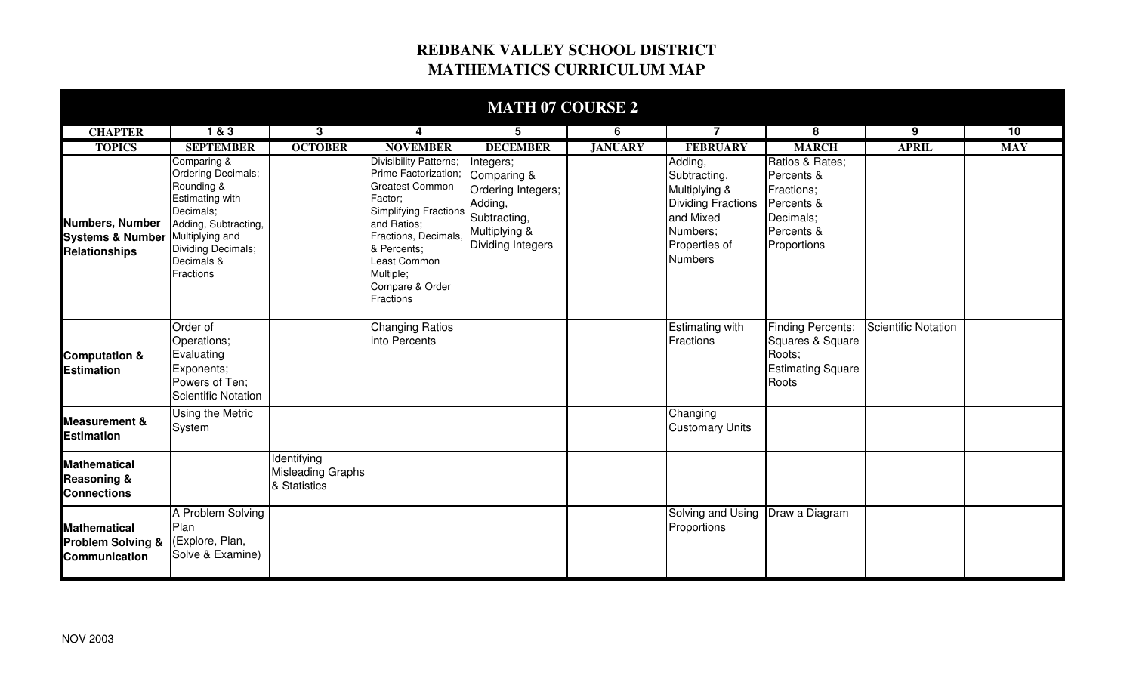## **REDBANK VALLEY SCHOOL DISTRICT MATHEMATICS CURRICULUM MAP**

| <b>MATH 07 COURSE 2</b>                                                            |                                                                                                                                                                 |                                                         |                                                                                                                                                                                                                                        |                                                                                                                 |                |                                                                                                                                   |                                                                                                     |                     |            |  |  |  |
|------------------------------------------------------------------------------------|-----------------------------------------------------------------------------------------------------------------------------------------------------------------|---------------------------------------------------------|----------------------------------------------------------------------------------------------------------------------------------------------------------------------------------------------------------------------------------------|-----------------------------------------------------------------------------------------------------------------|----------------|-----------------------------------------------------------------------------------------------------------------------------------|-----------------------------------------------------------------------------------------------------|---------------------|------------|--|--|--|
| <b>CHAPTER</b>                                                                     | 183                                                                                                                                                             | 3                                                       | 4                                                                                                                                                                                                                                      | 5                                                                                                               | 6              | $\overline{7}$                                                                                                                    | 8                                                                                                   | 9                   | 10         |  |  |  |
| <b>TOPICS</b>                                                                      | <b>SEPTEMBER</b>                                                                                                                                                | <b>OCTOBER</b>                                          | <b>NOVEMBER</b>                                                                                                                                                                                                                        | <b>DECEMBER</b>                                                                                                 | <b>JANUARY</b> | <b>FEBRUARY</b>                                                                                                                   | <b>MARCH</b>                                                                                        | <b>APRIL</b>        | <b>MAY</b> |  |  |  |
| <b>Numbers, Number</b><br>Systems & Number Multiplying and<br><b>Relationships</b> | Comparing &<br>Ordering Decimals;<br>Rounding &<br><b>Estimating with</b><br>Decimals;<br>Adding, Subtracting,<br>Dividing Decimals;<br>Decimals &<br>Fractions |                                                         | <b>Divisibility Patterns;</b><br>Prime Factorization;<br><b>Greatest Common</b><br>Factor;<br>Simplifying Fractions<br>and Ratios;<br>Fractions, Decimals,<br>& Percents;<br>Least Common<br>Multiple;<br>Compare & Order<br>Fractions | Integers;<br>Comparing &<br>Ordering Integers;<br>Adding,<br>Subtracting,<br>Multiplying &<br>Dividing Integers |                | Adding,<br>Subtracting,<br>Multiplying &<br><b>Dividing Fractions</b><br>and Mixed<br>Numbers;<br>Properties of<br><b>Numbers</b> | Ratios & Rates;<br>Percents &<br>Fractions;<br>Percents &<br>Decimals;<br>Percents &<br>Proportions |                     |            |  |  |  |
| <b>Computation &amp;</b><br><b>Estimation</b>                                      | Order of<br>Operations;<br>Evaluating<br>Exponents;<br>Powers of Ten;<br>Scientific Notation                                                                    |                                                         | <b>Changing Ratios</b><br>into Percents                                                                                                                                                                                                |                                                                                                                 |                | <b>Estimating with</b><br>Fractions                                                                                               | <b>Finding Percents;</b><br>Squares & Square<br>Roots;<br><b>Estimating Square</b><br>Roots         | Scientific Notation |            |  |  |  |
| <b>Measurement &amp;</b><br><b>Estimation</b>                                      | Using the Metric<br>System                                                                                                                                      |                                                         |                                                                                                                                                                                                                                        |                                                                                                                 |                | Changing<br><b>Customary Units</b>                                                                                                |                                                                                                     |                     |            |  |  |  |
| <b>Mathematical</b><br><b>Reasoning &amp;</b><br><b>Connections</b>                |                                                                                                                                                                 | Identifying<br><b>Misleading Graphs</b><br>& Statistics |                                                                                                                                                                                                                                        |                                                                                                                 |                |                                                                                                                                   |                                                                                                     |                     |            |  |  |  |
| <b>Mathematical</b><br><b>Problem Solving &amp;</b><br><b>Communication</b>        | A Problem Solving<br>Plan<br>(Explore, Plan,<br>Solve & Examine)                                                                                                |                                                         |                                                                                                                                                                                                                                        |                                                                                                                 |                | Solving and Using<br>Proportions                                                                                                  | Draw a Diagram                                                                                      |                     |            |  |  |  |